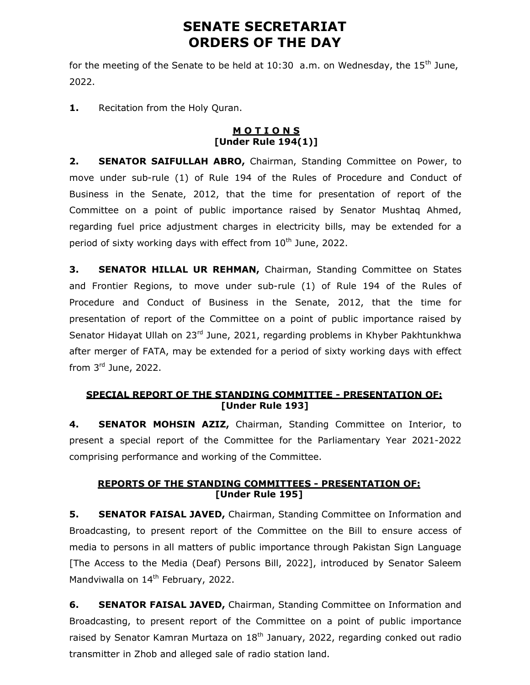# SENATE SECRETARIAT ORDERS OF THE DAY

for the meeting of the Senate to be held at  $10:30$  a.m. on Wednesday, the  $15<sup>th</sup>$  June, 2022.

1. Recitation from the Holy Quran.

### **MOTIONS** [Under Rule 194(1)]

2. SENATOR SAIFULLAH ABRO, Chairman, Standing Committee on Power, to move under sub-rule (1) of Rule 194 of the Rules of Procedure and Conduct of Business in the Senate, 2012, that the time for presentation of report of the Committee on a point of public importance raised by Senator Mushtaq Ahmed, regarding fuel price adjustment charges in electricity bills, may be extended for a period of sixty working days with effect from  $10<sup>th</sup>$  June, 2022.

**3. SENATOR HILLAL UR REHMAN, Chairman, Standing Committee on States** and Frontier Regions, to move under sub-rule (1) of Rule 194 of the Rules of Procedure and Conduct of Business in the Senate, 2012, that the time for presentation of report of the Committee on a point of public importance raised by Senator Hidayat Ullah on 23<sup>rd</sup> June, 2021, regarding problems in Khyber Pakhtunkhwa after merger of FATA, may be extended for a period of sixty working days with effect from 3rd June, 2022.

# SPECIAL REPORT OF THE STANDING COMMITTEE - PRESENTATION OF: [Under Rule 193]

4. **SENATOR MOHSIN AZIZ, Chairman, Standing Committee on Interior, to** present a special report of the Committee for the Parliamentary Year 2021-2022 comprising performance and working of the Committee.

# REPORTS OF THE STANDING COMMITTEES - PRESENTATION OF: [Under Rule 195]

**5.** SENATOR FAISAL JAVED, Chairman, Standing Committee on Information and Broadcasting, to present report of the Committee on the Bill to ensure access of media to persons in all matters of public importance through Pakistan Sign Language [The Access to the Media (Deaf) Persons Bill, 2022], introduced by Senator Saleem Mandviwalla on 14<sup>th</sup> February, 2022.

**6.** SENATOR FAISAL JAVED, Chairman, Standing Committee on Information and Broadcasting, to present report of the Committee on a point of public importance raised by Senator Kamran Murtaza on  $18<sup>th</sup>$  January, 2022, regarding conked out radio transmitter in Zhob and alleged sale of radio station land.